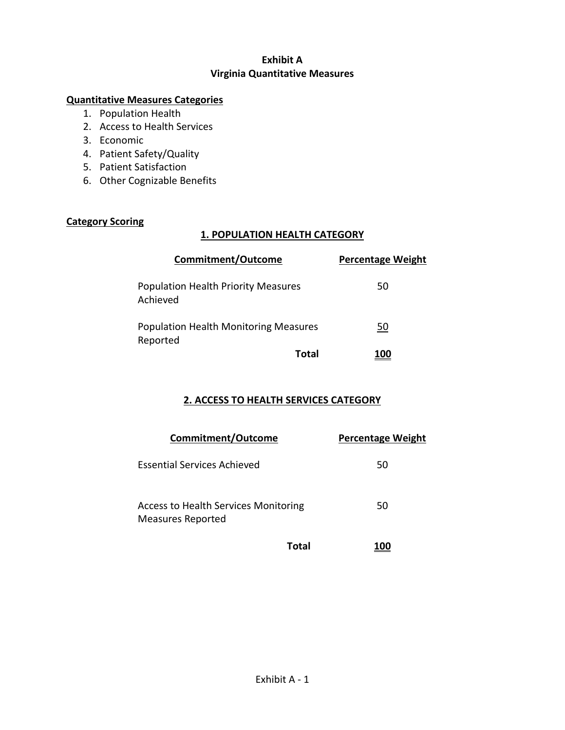# **Exhibit A Virginia Quantitative Measures**

### **Quantitative Measures Categories**

- 1. Population Health
- 2. Access to Health Services
- 3. Economic
- 4. Patient Safety/Quality
- 5. Patient Satisfaction
- 6. Other Cognizable Benefits

## **Category Scoring**

### **1. POPULATION HEALTH CATEGORY**

| <b>Commitment/Outcome</b>                                | <b>Percentage Weight</b> |
|----------------------------------------------------------|--------------------------|
| <b>Population Health Priority Measures</b><br>Achieved   | 50                       |
| <b>Population Health Monitoring Measures</b><br>Reported | 50                       |
| Total                                                    | 100 L                    |

# **2. ACCESS TO HEALTH SERVICES CATEGORY**

| <b>Commitment/Outcome</b>                                               |       | <b>Percentage Weight</b> |
|-------------------------------------------------------------------------|-------|--------------------------|
| Essential Services Achieved                                             |       | 50                       |
| <b>Access to Health Services Monitoring</b><br><b>Measures Reported</b> |       | 50                       |
|                                                                         | Total |                          |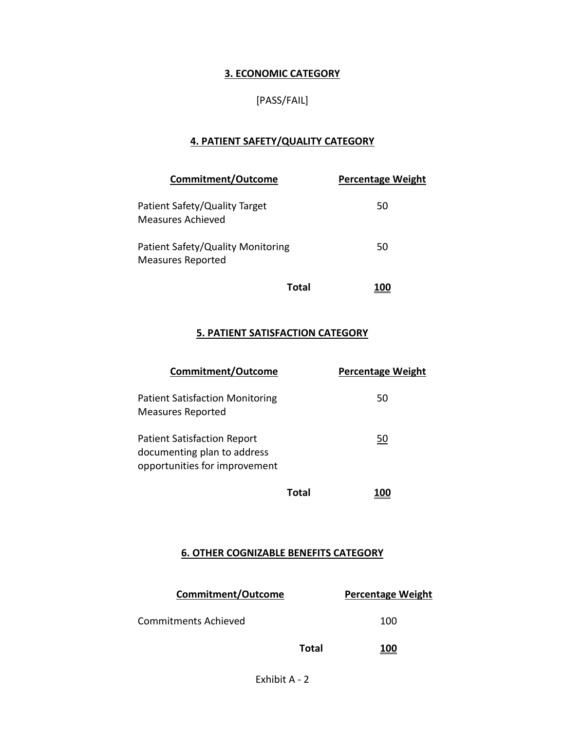### **3. ECONOMIC CATEGORY**

### [PASS/FAIL]

### **4. PATIENT SAFETY/QUALITY CATEGORY**

| <b>Commitment/Outcome</b>                                     |       | <b>Percentage Weight</b> |
|---------------------------------------------------------------|-------|--------------------------|
| Patient Safety/Quality Target<br>Measures Achieved            |       | 50                       |
| Patient Safety/Quality Monitoring<br><b>Measures Reported</b> |       | 50                       |
|                                                               | Total |                          |

### **5. PATIENT SATISFACTION CATEGORY**

| <b>Commitment/Outcome</b>                                                                          |       | <b>Percentage Weight</b> |
|----------------------------------------------------------------------------------------------------|-------|--------------------------|
| <b>Patient Satisfaction Monitoring</b><br><b>Measures Reported</b>                                 |       | 50                       |
| <b>Patient Satisfaction Report</b><br>documenting plan to address<br>opportunities for improvement |       | 50                       |
|                                                                                                    | Total |                          |

#### **6. OTHER COGNIZABLE BENEFITS CATEGORY**

| Commitment/Outcome   |       | <b>Percentage Weight</b> |
|----------------------|-------|--------------------------|
| Commitments Achieved |       | 100                      |
|                      | Total | <u> 100</u>              |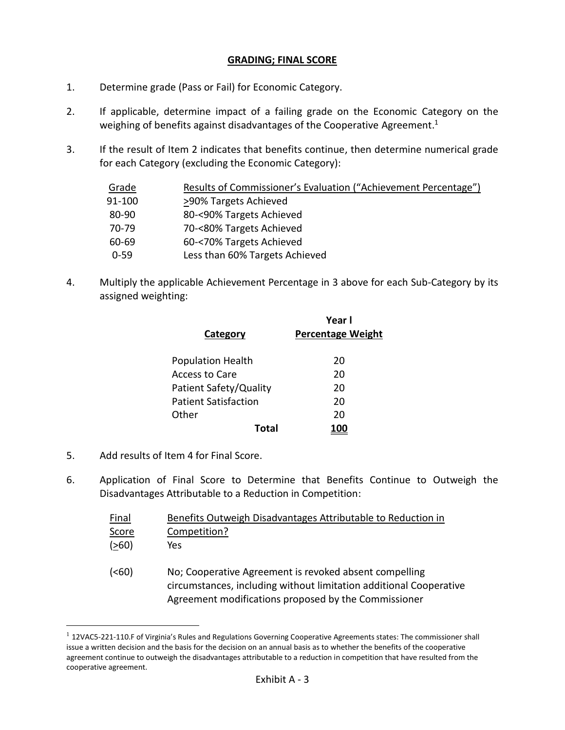#### **GRADING; FINAL SCORE**

- 1. Determine grade (Pass or Fail) for Economic Category.
- 2. If applicable, determine impact of a failing grade on the Economic Category on the weighing of benefits against disadvantages of the Cooperative Agreement.<sup>1</sup>
- 3. If the result of Item 2 indicates that benefits continue, then determine numerical grade for each Category (excluding the Economic Category):

| Grade    | Results of Commissioner's Evaluation ("Achievement Percentage") |
|----------|-----------------------------------------------------------------|
| 91-100   | >90% Targets Achieved                                           |
| 80-90    | 80-<90% Targets Achieved                                        |
| 70-79    | 70-<80% Targets Achieved                                        |
| 60-69    | 60-<70% Targets Achieved                                        |
| $0 - 59$ | Less than 60% Targets Achieved                                  |

4. Multiply the applicable Achievement Percentage in 3 above for each Sub-Category by its assigned weighting:

| <b>Percentage Weight</b> |
|--------------------------|
|                          |
|                          |
| 20                       |
| 20                       |
| 20                       |
| 20                       |
| 20                       |
|                          |
|                          |

5. Add results of Item 4 for Final Score.

 $\overline{a}$ 

6. Application of Final Score to Determine that Benefits Continue to Outweigh the Disadvantages Attributable to a Reduction in Competition:

| <b>Final</b>      | Benefits Outweigh Disadvantages Attributable to Reduction in                                                                                                                         |
|-------------------|--------------------------------------------------------------------------------------------------------------------------------------------------------------------------------------|
| Score             | Competition?                                                                                                                                                                         |
| ( >60)            | Yes                                                                                                                                                                                  |
| ( <sub>60</sub> ) | No; Cooperative Agreement is revoked absent compelling<br>circumstances, including without limitation additional Cooperative<br>Agreement modifications proposed by the Commissioner |

 $1$  12VAC5-221-110.F of Virginia's Rules and Regulations Governing Cooperative Agreements states: The commissioner shall issue a written decision and the basis for the decision on an annual basis as to whether the benefits of the cooperative agreement continue to outweigh the disadvantages attributable to a reduction in competition that have resulted from the cooperative agreement.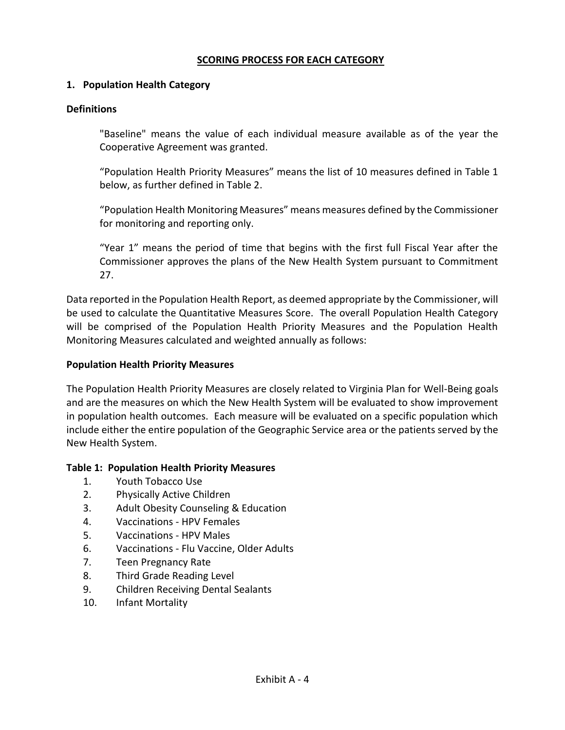#### **SCORING PROCESS FOR EACH CATEGORY**

#### **1. Population Health Category**

#### **Definitions**

"Baseline" means the value of each individual measure available as of the year the Cooperative Agreement was granted.

"Population Health Priority Measures" means the list of 10 measures defined in Table 1 below, as further defined in Table 2.

"Population Health Monitoring Measures" means measures defined by the Commissioner for monitoring and reporting only.

"Year 1" means the period of time that begins with the first full Fiscal Year after the Commissioner approves the plans of the New Health System pursuant to Commitment 27.

Data reported in the Population Health Report, as deemed appropriate by the Commissioner, will be used to calculate the Quantitative Measures Score. The overall Population Health Category will be comprised of the Population Health Priority Measures and the Population Health Monitoring Measures calculated and weighted annually as follows:

#### **Population Health Priority Measures**

The Population Health Priority Measures are closely related to Virginia Plan for Well-Being goals and are the measures on which the New Health System will be evaluated to show improvement in population health outcomes. Each measure will be evaluated on a specific population which include either the entire population of the Geographic Service area or the patients served by the New Health System.

#### **Table 1: Population Health Priority Measures**

- 1. Youth Tobacco Use
- 2. Physically Active Children
- 3. Adult Obesity Counseling & Education
- 4. Vaccinations HPV Females
- 5. Vaccinations HPV Males
- 6. Vaccinations Flu Vaccine, Older Adults
- 7. Teen Pregnancy Rate
- 8. Third Grade Reading Level
- 9. Children Receiving Dental Sealants
- 10. Infant Mortality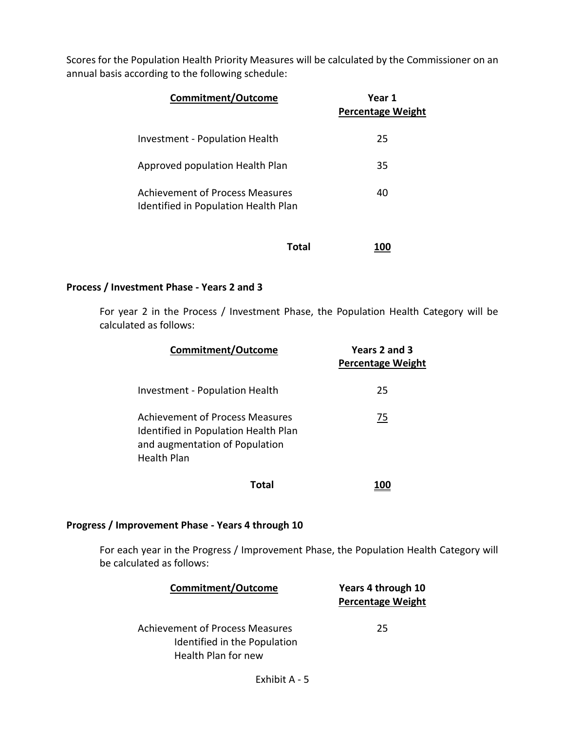Scores for the Population Health Priority Measures will be calculated by the Commissioner on an annual basis according to the following schedule:

| Commitment/Outcome                                                             | Year 1<br><b>Percentage Weight</b> |
|--------------------------------------------------------------------------------|------------------------------------|
| <b>Investment - Population Health</b>                                          | 25                                 |
| Approved population Health Plan                                                | 35                                 |
| <b>Achievement of Process Measures</b><br>Identified in Population Health Plan | 40                                 |
| Total                                                                          |                                    |

# **Process / Investment Phase - Years 2 and 3**

For year 2 in the Process / Investment Phase, the Population Health Category will be calculated as follows:

| <b>Commitment/Outcome</b>                                                                                                              | Years 2 and 3<br><b>Percentage Weight</b> |
|----------------------------------------------------------------------------------------------------------------------------------------|-------------------------------------------|
| Investment - Population Health                                                                                                         | 25                                        |
| <b>Achievement of Process Measures</b><br>Identified in Population Health Plan<br>and augmentation of Population<br><b>Health Plan</b> | <u>75</u>                                 |
| Total                                                                                                                                  |                                           |

#### **Progress / Improvement Phase - Years 4 through 10**

For each year in the Progress / Improvement Phase, the Population Health Category will be calculated as follows:

| <b>Commitment/Outcome</b>                                                                     | Years 4 through 10<br><b>Percentage Weight</b> |
|-----------------------------------------------------------------------------------------------|------------------------------------------------|
| <b>Achievement of Process Measures</b><br>Identified in the Population<br>Health Plan for new | 25.                                            |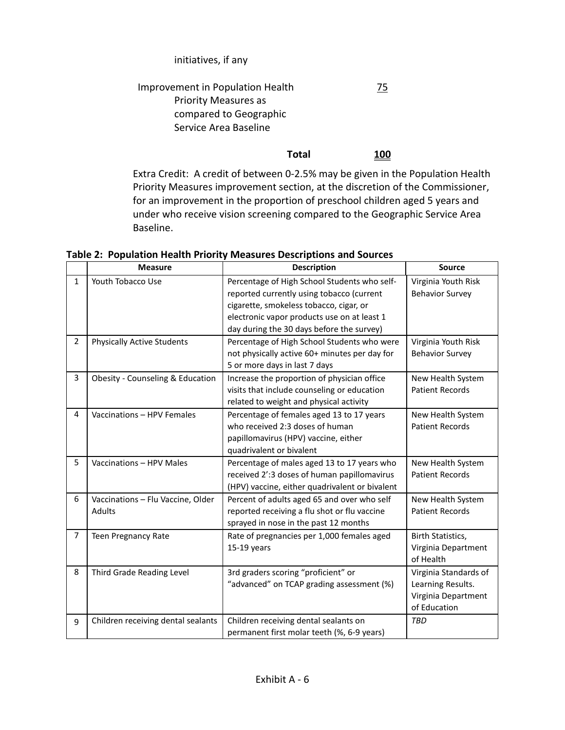### initiatives, if any

#### Improvement in Population Health Priority Measures as compared to Geographic Service Area Baseline 75

**Total 100** Extra Credit: A credit of between 0-2.5% may be given in the Population Health Priority Measures improvement section, at the discretion of the Commissioner,

for an improvement in the proportion of preschool children aged 5 years and under who receive vision screening compared to the Geographic Service Area Baseline.

|                | <b>Measure</b>                              | <b>Description</b>                                                                                                                               | <b>Source</b>                                                                     |
|----------------|---------------------------------------------|--------------------------------------------------------------------------------------------------------------------------------------------------|-----------------------------------------------------------------------------------|
| $\mathbf{1}$   | Youth Tobacco Use                           | Percentage of High School Students who self-<br>reported currently using tobacco (current<br>cigarette, smokeless tobacco, cigar, or             | Virginia Youth Risk<br><b>Behavior Survey</b>                                     |
|                |                                             | electronic vapor products use on at least 1<br>day during the 30 days before the survey)                                                         |                                                                                   |
| $\overline{2}$ | <b>Physically Active Students</b>           | Percentage of High School Students who were<br>not physically active 60+ minutes per day for<br>5 or more days in last 7 days                    | Virginia Youth Risk<br><b>Behavior Survey</b>                                     |
| 3              | Obesity - Counseling & Education            | Increase the proportion of physician office<br>visits that include counseling or education<br>related to weight and physical activity            | New Health System<br><b>Patient Records</b>                                       |
| 4              | Vaccinations - HPV Females                  | Percentage of females aged 13 to 17 years<br>who received 2:3 doses of human<br>papillomavirus (HPV) vaccine, either<br>quadrivalent or bivalent | New Health System<br><b>Patient Records</b>                                       |
| 5              | Vaccinations - HPV Males                    | Percentage of males aged 13 to 17 years who<br>received 2':3 doses of human papillomavirus<br>(HPV) vaccine, either quadrivalent or bivalent     | New Health System<br><b>Patient Records</b>                                       |
| 6              | Vaccinations - Flu Vaccine, Older<br>Adults | Percent of adults aged 65 and over who self<br>reported receiving a flu shot or flu vaccine<br>sprayed in nose in the past 12 months             | New Health System<br><b>Patient Records</b>                                       |
| $\overline{7}$ | <b>Teen Pregnancy Rate</b>                  | Rate of pregnancies per 1,000 females aged<br>$15-19$ years                                                                                      | Birth Statistics,<br>Virginia Department<br>of Health                             |
| 8              | Third Grade Reading Level                   | 3rd graders scoring "proficient" or<br>"advanced" on TCAP grading assessment (%)                                                                 | Virginia Standards of<br>Learning Results.<br>Virginia Department<br>of Education |
| 9              | Children receiving dental sealants          | Children receiving dental sealants on<br>permanent first molar teeth (%, 6-9 years)                                                              | <b>TBD</b>                                                                        |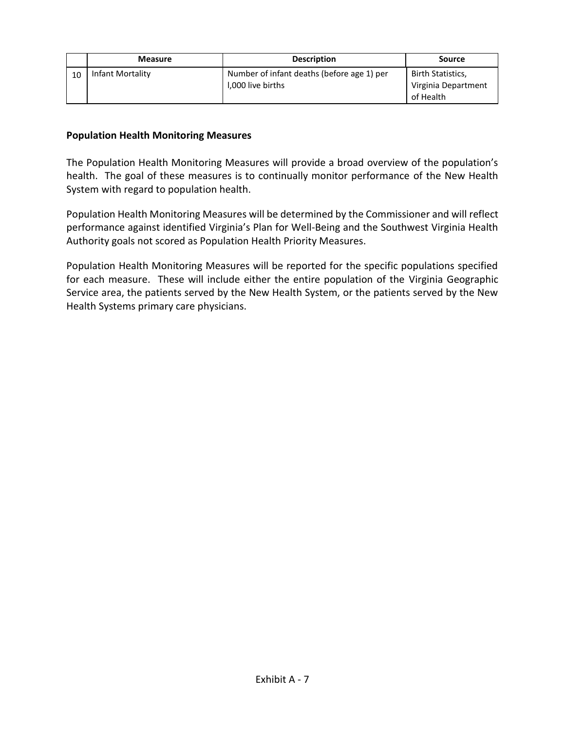|    | <b>Measure</b>   | <b>Description</b>                                              | Source                                                |
|----|------------------|-----------------------------------------------------------------|-------------------------------------------------------|
| 10 | Infant Mortality | Number of infant deaths (before age 1) per<br>1,000 live births | Birth Statistics,<br>Virginia Department<br>of Health |

#### **Population Health Monitoring Measures**

The Population Health Monitoring Measures will provide a broad overview of the population's health. The goal of these measures is to continually monitor performance of the New Health System with regard to population health.

Population Health Monitoring Measures will be determined by the Commissioner and will reflect performance against identified Virginia's Plan for Well-Being and the Southwest Virginia Health Authority goals not scored as Population Health Priority Measures.

Population Health Monitoring Measures will be reported for the specific populations specified for each measure. These will include either the entire population of the Virginia Geographic Service area, the patients served by the New Health System, or the patients served by the New Health Systems primary care physicians.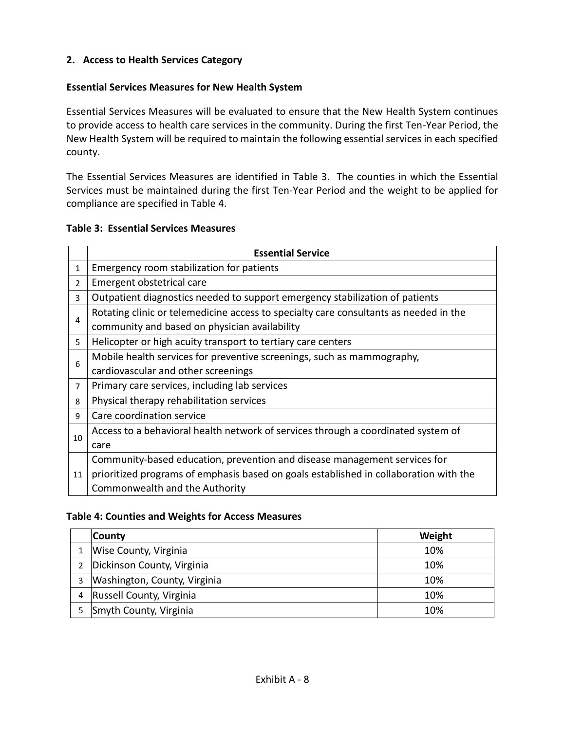## **2. Access to Health Services Category**

#### **Essential Services Measures for New Health System**

Essential Services Measures will be evaluated to ensure that the New Health System continues to provide access to health care services in the community. During the first Ten-Year Period, the New Health System will be required to maintain the following essential services in each specified county.

The Essential Services Measures are identified in Table 3. The counties in which the Essential Services must be maintained during the first Ten-Year Period and the weight to be applied for compliance are specified in Table 4.

#### **Table 3: Essential Services Measures**

|                | <b>Essential Service</b>                                                              |  |  |
|----------------|---------------------------------------------------------------------------------------|--|--|
| $\mathbf{1}$   | Emergency room stabilization for patients                                             |  |  |
| $\overline{2}$ | Emergent obstetrical care                                                             |  |  |
| 3              | Outpatient diagnostics needed to support emergency stabilization of patients          |  |  |
| 4              | Rotating clinic or telemedicine access to specialty care consultants as needed in the |  |  |
|                | community and based on physician availability                                         |  |  |
| 5              | Helicopter or high acuity transport to tertiary care centers                          |  |  |
| 6              | Mobile health services for preventive screenings, such as mammography,                |  |  |
|                | cardiovascular and other screenings                                                   |  |  |
| $\overline{7}$ | Primary care services, including lab services                                         |  |  |
| 8              | Physical therapy rehabilitation services                                              |  |  |
| 9              | Care coordination service                                                             |  |  |
|                | Access to a behavioral health network of services through a coordinated system of     |  |  |
| 10             | care                                                                                  |  |  |
|                | Community-based education, prevention and disease management services for             |  |  |
| 11             | prioritized programs of emphasis based on goals established in collaboration with the |  |  |
|                | Commonwealth and the Authority                                                        |  |  |

#### **Table 4: Counties and Weights for Access Measures**

| <b>County</b>                | Weight |
|------------------------------|--------|
| Wise County, Virginia        | 10%    |
| Dickinson County, Virginia   | 10%    |
| Washington, County, Virginia | 10%    |
| Russell County, Virginia     | 10%    |
| Smyth County, Virginia       | 10%    |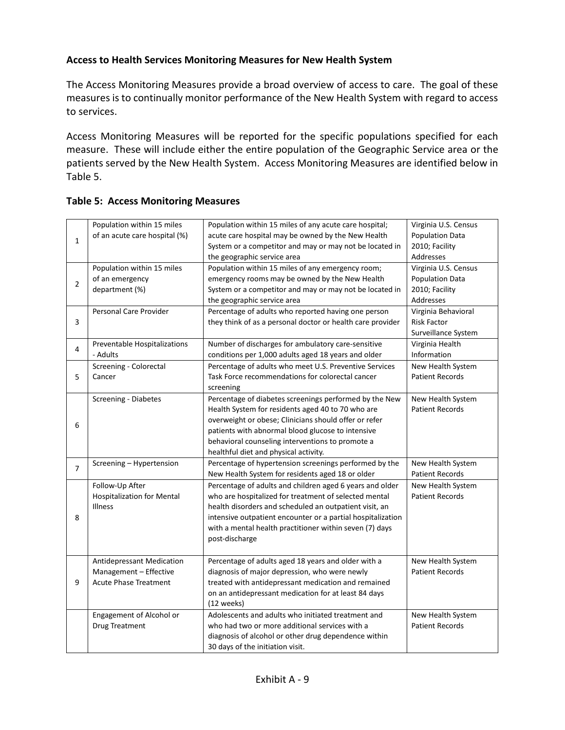### **Access to Health Services Monitoring Measures for New Health System**

The Access Monitoring Measures provide a broad overview of access to care. The goal of these measures is to continually monitor performance of the New Health System with regard to access to services.

Access Monitoring Measures will be reported for the specific populations specified for each measure. These will include either the entire population of the Geographic Service area or the patients served by the New Health System. Access Monitoring Measures are identified below in Table 5.

|              | Population within 15 miles        | Population within 15 miles of any acute care hospital;                                                                                                                                                                                                                                                                                                                                                                                                                                                                                                                                                                                                                                                                                                                                                                                                                                                                                                                                                                                                                                                                                                                                                                                                                                                                                                                                                                                                                      | Virginia U.S. Census   |
|--------------|-----------------------------------|-----------------------------------------------------------------------------------------------------------------------------------------------------------------------------------------------------------------------------------------------------------------------------------------------------------------------------------------------------------------------------------------------------------------------------------------------------------------------------------------------------------------------------------------------------------------------------------------------------------------------------------------------------------------------------------------------------------------------------------------------------------------------------------------------------------------------------------------------------------------------------------------------------------------------------------------------------------------------------------------------------------------------------------------------------------------------------------------------------------------------------------------------------------------------------------------------------------------------------------------------------------------------------------------------------------------------------------------------------------------------------------------------------------------------------------------------------------------------------|------------------------|
| $\mathbf 1$  | of an acute care hospital (%)     | acute care hospital may be owned by the New Health                                                                                                                                                                                                                                                                                                                                                                                                                                                                                                                                                                                                                                                                                                                                                                                                                                                                                                                                                                                                                                                                                                                                                                                                                                                                                                                                                                                                                          | Population Data        |
|              |                                   | System or a competitor and may or may not be located in                                                                                                                                                                                                                                                                                                                                                                                                                                                                                                                                                                                                                                                                                                                                                                                                                                                                                                                                                                                                                                                                                                                                                                                                                                                                                                                                                                                                                     | 2010; Facility         |
|              |                                   | the geographic service area                                                                                                                                                                                                                                                                                                                                                                                                                                                                                                                                                                                                                                                                                                                                                                                                                                                                                                                                                                                                                                                                                                                                                                                                                                                                                                                                                                                                                                                 | Addresses              |
|              | Population within 15 miles        | Population within 15 miles of any emergency room;                                                                                                                                                                                                                                                                                                                                                                                                                                                                                                                                                                                                                                                                                                                                                                                                                                                                                                                                                                                                                                                                                                                                                                                                                                                                                                                                                                                                                           | Virginia U.S. Census   |
| $\mathbf{2}$ | of an emergency                   | emergency rooms may be owned by the New Health                                                                                                                                                                                                                                                                                                                                                                                                                                                                                                                                                                                                                                                                                                                                                                                                                                                                                                                                                                                                                                                                                                                                                                                                                                                                                                                                                                                                                              | <b>Population Data</b> |
|              | department (%)                    | System or a competitor and may or may not be located in                                                                                                                                                                                                                                                                                                                                                                                                                                                                                                                                                                                                                                                                                                                                                                                                                                                                                                                                                                                                                                                                                                                                                                                                                                                                                                                                                                                                                     | 2010; Facility         |
|              |                                   | the geographic service area<br>Percentage of adults who reported having one person<br>they think of as a personal doctor or health care provider<br>Number of discharges for ambulatory care-sensitive<br>conditions per 1,000 adults aged 18 years and older<br>Percentage of adults who meet U.S. Preventive Services<br>Task Force recommendations for colorectal cancer<br>screening<br>Health System for residents aged 40 to 70 who are<br>overweight or obese; Clinicians should offer or refer<br>patients with abnormal blood glucose to intensive<br>behavioral counseling interventions to promote a<br>healthful diet and physical activity.<br>Percentage of hypertension screenings performed by the<br>New Health System for residents aged 18 or older<br>Percentage of adults and children aged 6 years and older<br>who are hospitalized for treatment of selected mental<br>health disorders and scheduled an outpatient visit, an<br>with a mental health practitioner within seven (7) days<br>post-discharge<br>Percentage of adults aged 18 years and older with a<br>diagnosis of major depression, who were newly<br>treated with antidepressant medication and remained<br>on an antidepressant medication for at least 84 days<br>(12 weeks)<br>Adolescents and adults who initiated treatment and<br>who had two or more additional services with a<br>diagnosis of alcohol or other drug dependence within<br>30 days of the initiation visit. | Addresses              |
|              | Personal Care Provider            |                                                                                                                                                                                                                                                                                                                                                                                                                                                                                                                                                                                                                                                                                                                                                                                                                                                                                                                                                                                                                                                                                                                                                                                                                                                                                                                                                                                                                                                                             | Virginia Behavioral    |
| 3            |                                   |                                                                                                                                                                                                                                                                                                                                                                                                                                                                                                                                                                                                                                                                                                                                                                                                                                                                                                                                                                                                                                                                                                                                                                                                                                                                                                                                                                                                                                                                             | <b>Risk Factor</b>     |
|              |                                   | Percentage of diabetes screenings performed by the New<br>intensive outpatient encounter or a partial hospitalization                                                                                                                                                                                                                                                                                                                                                                                                                                                                                                                                                                                                                                                                                                                                                                                                                                                                                                                                                                                                                                                                                                                                                                                                                                                                                                                                                       | Surveillance System    |
| 4            | Preventable Hospitalizations      |                                                                                                                                                                                                                                                                                                                                                                                                                                                                                                                                                                                                                                                                                                                                                                                                                                                                                                                                                                                                                                                                                                                                                                                                                                                                                                                                                                                                                                                                             | Virginia Health        |
|              | - Adults                          |                                                                                                                                                                                                                                                                                                                                                                                                                                                                                                                                                                                                                                                                                                                                                                                                                                                                                                                                                                                                                                                                                                                                                                                                                                                                                                                                                                                                                                                                             | Information            |
|              | Screening - Colorectal            |                                                                                                                                                                                                                                                                                                                                                                                                                                                                                                                                                                                                                                                                                                                                                                                                                                                                                                                                                                                                                                                                                                                                                                                                                                                                                                                                                                                                                                                                             | New Health System      |
| 5            | Cancer                            |                                                                                                                                                                                                                                                                                                                                                                                                                                                                                                                                                                                                                                                                                                                                                                                                                                                                                                                                                                                                                                                                                                                                                                                                                                                                                                                                                                                                                                                                             | <b>Patient Records</b> |
|              |                                   |                                                                                                                                                                                                                                                                                                                                                                                                                                                                                                                                                                                                                                                                                                                                                                                                                                                                                                                                                                                                                                                                                                                                                                                                                                                                                                                                                                                                                                                                             |                        |
|              | Screening - Diabetes              |                                                                                                                                                                                                                                                                                                                                                                                                                                                                                                                                                                                                                                                                                                                                                                                                                                                                                                                                                                                                                                                                                                                                                                                                                                                                                                                                                                                                                                                                             | New Health System      |
|              |                                   |                                                                                                                                                                                                                                                                                                                                                                                                                                                                                                                                                                                                                                                                                                                                                                                                                                                                                                                                                                                                                                                                                                                                                                                                                                                                                                                                                                                                                                                                             | <b>Patient Records</b> |
| 6            |                                   |                                                                                                                                                                                                                                                                                                                                                                                                                                                                                                                                                                                                                                                                                                                                                                                                                                                                                                                                                                                                                                                                                                                                                                                                                                                                                                                                                                                                                                                                             |                        |
|              |                                   |                                                                                                                                                                                                                                                                                                                                                                                                                                                                                                                                                                                                                                                                                                                                                                                                                                                                                                                                                                                                                                                                                                                                                                                                                                                                                                                                                                                                                                                                             |                        |
|              |                                   |                                                                                                                                                                                                                                                                                                                                                                                                                                                                                                                                                                                                                                                                                                                                                                                                                                                                                                                                                                                                                                                                                                                                                                                                                                                                                                                                                                                                                                                                             |                        |
|              |                                   |                                                                                                                                                                                                                                                                                                                                                                                                                                                                                                                                                                                                                                                                                                                                                                                                                                                                                                                                                                                                                                                                                                                                                                                                                                                                                                                                                                                                                                                                             |                        |
| 7            | Screening - Hypertension          |                                                                                                                                                                                                                                                                                                                                                                                                                                                                                                                                                                                                                                                                                                                                                                                                                                                                                                                                                                                                                                                                                                                                                                                                                                                                                                                                                                                                                                                                             | New Health System      |
|              |                                   |                                                                                                                                                                                                                                                                                                                                                                                                                                                                                                                                                                                                                                                                                                                                                                                                                                                                                                                                                                                                                                                                                                                                                                                                                                                                                                                                                                                                                                                                             | <b>Patient Records</b> |
|              | Follow-Up After                   |                                                                                                                                                                                                                                                                                                                                                                                                                                                                                                                                                                                                                                                                                                                                                                                                                                                                                                                                                                                                                                                                                                                                                                                                                                                                                                                                                                                                                                                                             | New Health System      |
|              | <b>Hospitalization for Mental</b> |                                                                                                                                                                                                                                                                                                                                                                                                                                                                                                                                                                                                                                                                                                                                                                                                                                                                                                                                                                                                                                                                                                                                                                                                                                                                                                                                                                                                                                                                             | <b>Patient Records</b> |
|              | Illness                           |                                                                                                                                                                                                                                                                                                                                                                                                                                                                                                                                                                                                                                                                                                                                                                                                                                                                                                                                                                                                                                                                                                                                                                                                                                                                                                                                                                                                                                                                             |                        |
| 8            |                                   |                                                                                                                                                                                                                                                                                                                                                                                                                                                                                                                                                                                                                                                                                                                                                                                                                                                                                                                                                                                                                                                                                                                                                                                                                                                                                                                                                                                                                                                                             |                        |
|              |                                   |                                                                                                                                                                                                                                                                                                                                                                                                                                                                                                                                                                                                                                                                                                                                                                                                                                                                                                                                                                                                                                                                                                                                                                                                                                                                                                                                                                                                                                                                             |                        |
|              |                                   |                                                                                                                                                                                                                                                                                                                                                                                                                                                                                                                                                                                                                                                                                                                                                                                                                                                                                                                                                                                                                                                                                                                                                                                                                                                                                                                                                                                                                                                                             |                        |
|              |                                   |                                                                                                                                                                                                                                                                                                                                                                                                                                                                                                                                                                                                                                                                                                                                                                                                                                                                                                                                                                                                                                                                                                                                                                                                                                                                                                                                                                                                                                                                             |                        |
|              | Antidepressant Medication         |                                                                                                                                                                                                                                                                                                                                                                                                                                                                                                                                                                                                                                                                                                                                                                                                                                                                                                                                                                                                                                                                                                                                                                                                                                                                                                                                                                                                                                                                             | New Health System      |
|              | Management - Effective            |                                                                                                                                                                                                                                                                                                                                                                                                                                                                                                                                                                                                                                                                                                                                                                                                                                                                                                                                                                                                                                                                                                                                                                                                                                                                                                                                                                                                                                                                             | <b>Patient Records</b> |
| 9            | <b>Acute Phase Treatment</b>      |                                                                                                                                                                                                                                                                                                                                                                                                                                                                                                                                                                                                                                                                                                                                                                                                                                                                                                                                                                                                                                                                                                                                                                                                                                                                                                                                                                                                                                                                             |                        |
|              |                                   |                                                                                                                                                                                                                                                                                                                                                                                                                                                                                                                                                                                                                                                                                                                                                                                                                                                                                                                                                                                                                                                                                                                                                                                                                                                                                                                                                                                                                                                                             |                        |
|              |                                   |                                                                                                                                                                                                                                                                                                                                                                                                                                                                                                                                                                                                                                                                                                                                                                                                                                                                                                                                                                                                                                                                                                                                                                                                                                                                                                                                                                                                                                                                             |                        |
|              | Engagement of Alcohol or          |                                                                                                                                                                                                                                                                                                                                                                                                                                                                                                                                                                                                                                                                                                                                                                                                                                                                                                                                                                                                                                                                                                                                                                                                                                                                                                                                                                                                                                                                             | New Health System      |
|              | Drug Treatment                    |                                                                                                                                                                                                                                                                                                                                                                                                                                                                                                                                                                                                                                                                                                                                                                                                                                                                                                                                                                                                                                                                                                                                                                                                                                                                                                                                                                                                                                                                             | <b>Patient Records</b> |
|              |                                   |                                                                                                                                                                                                                                                                                                                                                                                                                                                                                                                                                                                                                                                                                                                                                                                                                                                                                                                                                                                                                                                                                                                                                                                                                                                                                                                                                                                                                                                                             |                        |
|              |                                   |                                                                                                                                                                                                                                                                                                                                                                                                                                                                                                                                                                                                                                                                                                                                                                                                                                                                                                                                                                                                                                                                                                                                                                                                                                                                                                                                                                                                                                                                             |                        |

#### **Table 5: Access Monitoring Measures**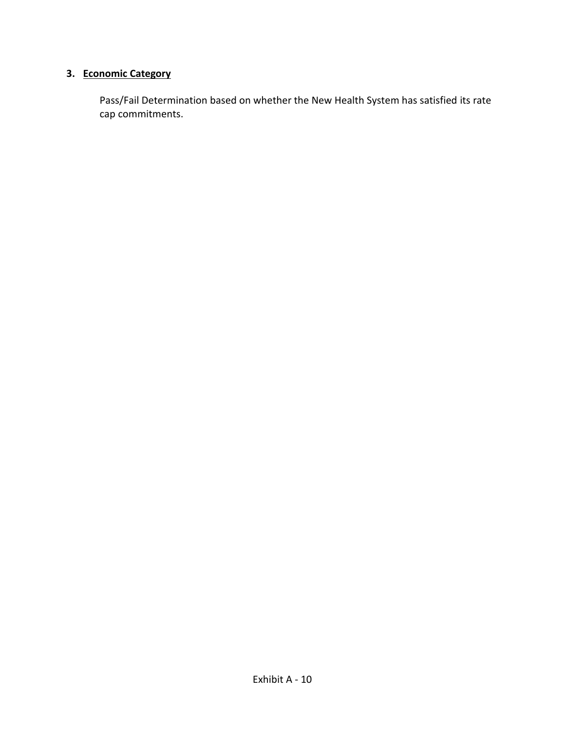# **3. Economic Category**

Pass/Fail Determination based on whether the New Health System has satisfied its rate cap commitments.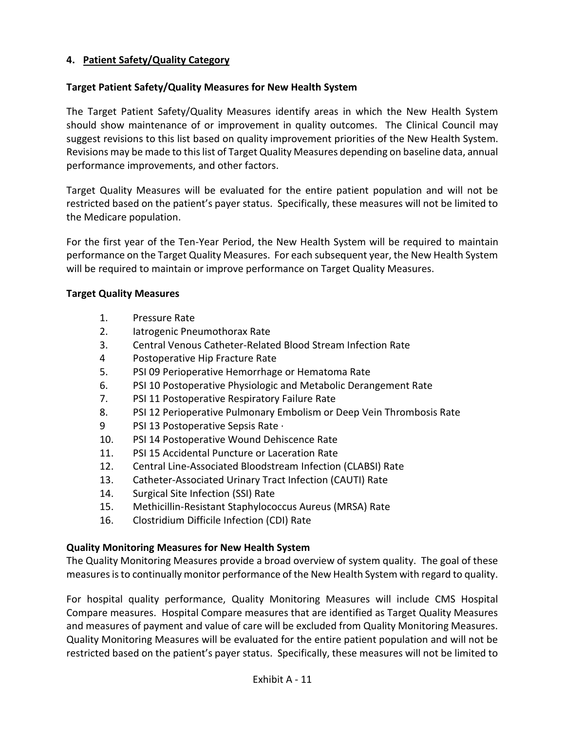## **4. Patient Safety/Quality Category**

#### **Target Patient Safety/Quality Measures for New Health System**

The Target Patient Safety/Quality Measures identify areas in which the New Health System should show maintenance of or improvement in quality outcomes. The Clinical Council may suggest revisions to this list based on quality improvement priorities of the New Health System. Revisions may be made to this list of Target Quality Measures depending on baseline data, annual performance improvements, and other factors.

Target Quality Measures will be evaluated for the entire patient population and will not be restricted based on the patient's payer status. Specifically, these measures will not be limited to the Medicare population.

For the first year of the Ten-Year Period, the New Health System will be required to maintain performance on the Target Quality Measures. For each subsequent year, the New Health System will be required to maintain or improve performance on Target Quality Measures.

#### **Target Quality Measures**

- 1. Pressure Rate
- 2. Iatrogenic Pneumothorax Rate
- 3. Central Venous Catheter-Related Blood Stream Infection Rate
- 4 Postoperative Hip Fracture Rate
- 5. PSI 09 Perioperative Hemorrhage or Hematoma Rate
- 6. PSI 10 Postoperative Physiologic and Metabolic Derangement Rate
- 7. PSI 11 Postoperative Respiratory Failure Rate
- 8. PSI 12 Perioperative Pulmonary Embolism or Deep Vein Thrombosis Rate
- 9 PSI 13 Postoperative Sepsis Rate ·
- 10. PSI 14 Postoperative Wound Dehiscence Rate
- 11. PSI 15 Accidental Puncture or Laceration Rate
- 12. Central Line-Associated Bloodstream Infection (CLABSI) Rate
- 13. Catheter-Associated Urinary Tract Infection (CAUTI) Rate
- 14. Surgical Site Infection (SSI) Rate
- 15. Methicillin-Resistant Staphylococcus Aureus (MRSA) Rate
- 16. Clostridium Difficile Infection (CDI) Rate

### **Quality Monitoring Measures for New Health System**

The Quality Monitoring Measures provide a broad overview of system quality. The goal of these measures is to continually monitor performance of the New Health System with regard to quality.

For hospital quality performance, Quality Monitoring Measures will include CMS Hospital Compare measures. Hospital Compare measures that are identified as Target Quality Measures and measures of payment and value of care will be excluded from Quality Monitoring Measures. Quality Monitoring Measures will be evaluated for the entire patient population and will not be restricted based on the patient's payer status. Specifically, these measures will not be limited to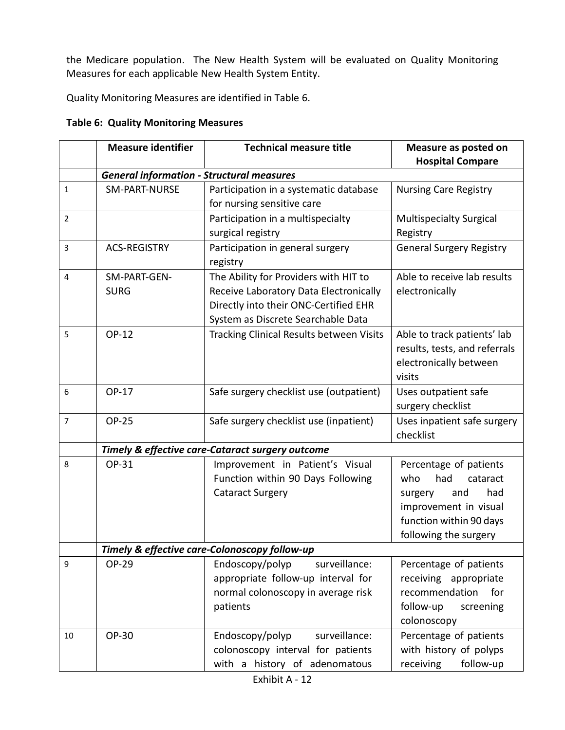the Medicare population. The New Health System will be evaluated on Quality Monitoring Measures for each applicable New Health System Entity.

Quality Monitoring Measures are identified in Table 6.

## **Table 6: Quality Monitoring Measures**

|                | <b>Measure identifier</b>                        | <b>Technical measure title</b>                   | Measure as posted on            |
|----------------|--------------------------------------------------|--------------------------------------------------|---------------------------------|
|                |                                                  |                                                  | <b>Hospital Compare</b>         |
|                | <b>General information - Structural measures</b> |                                                  |                                 |
| $\mathbf{1}$   | <b>SM-PART-NURSE</b>                             | Participation in a systematic database           | <b>Nursing Care Registry</b>    |
|                |                                                  | for nursing sensitive care                       |                                 |
| $\overline{2}$ |                                                  | Participation in a multispecialty                | <b>Multispecialty Surgical</b>  |
|                |                                                  | surgical registry                                | Registry                        |
| 3              | <b>ACS-REGISTRY</b>                              | Participation in general surgery                 | <b>General Surgery Registry</b> |
|                |                                                  | registry                                         |                                 |
| 4              | SM-PART-GEN-                                     | The Ability for Providers with HIT to            | Able to receive lab results     |
|                | <b>SURG</b>                                      | Receive Laboratory Data Electronically           | electronically                  |
|                |                                                  | Directly into their ONC-Certified EHR            |                                 |
|                |                                                  | System as Discrete Searchable Data               |                                 |
| 5              | OP-12                                            | <b>Tracking Clinical Results between Visits</b>  | Able to track patients' lab     |
|                |                                                  |                                                  | results, tests, and referrals   |
|                |                                                  |                                                  | electronically between          |
|                |                                                  |                                                  | visits                          |
| 6              | OP-17                                            | Safe surgery checklist use (outpatient)          | Uses outpatient safe            |
|                |                                                  |                                                  | surgery checklist               |
| $\overline{7}$ | <b>OP-25</b>                                     | Safe surgery checklist use (inpatient)           | Uses inpatient safe surgery     |
|                |                                                  |                                                  | checklist                       |
|                |                                                  | Timely & effective care-Cataract surgery outcome |                                 |
| 8              | OP-31                                            | Improvement in Patient's Visual                  | Percentage of patients          |
|                |                                                  | Function within 90 Days Following                | had<br>who<br>cataract          |
|                |                                                  | <b>Cataract Surgery</b>                          | had<br>and<br>surgery           |
|                |                                                  |                                                  | improvement in visual           |
|                |                                                  |                                                  | function within 90 days         |
|                |                                                  |                                                  | following the surgery           |
|                |                                                  | Timely & effective care-Colonoscopy follow-up    |                                 |
| 9              | OP-29                                            | Endoscopy/polyp<br>surveillance:                 | Percentage of patients          |
|                |                                                  | appropriate follow-up interval for               | receiving appropriate           |
|                |                                                  | normal colonoscopy in average risk               | recommendation<br>for           |
|                |                                                  | patients                                         | follow-up<br>screening          |
|                |                                                  |                                                  | colonoscopy                     |
| 10             | OP-30                                            | surveillance:<br>Endoscopy/polyp                 | Percentage of patients          |
|                |                                                  | colonoscopy interval for patients                | with history of polyps          |
|                |                                                  | with a history of adenomatous                    | follow-up<br>receiving          |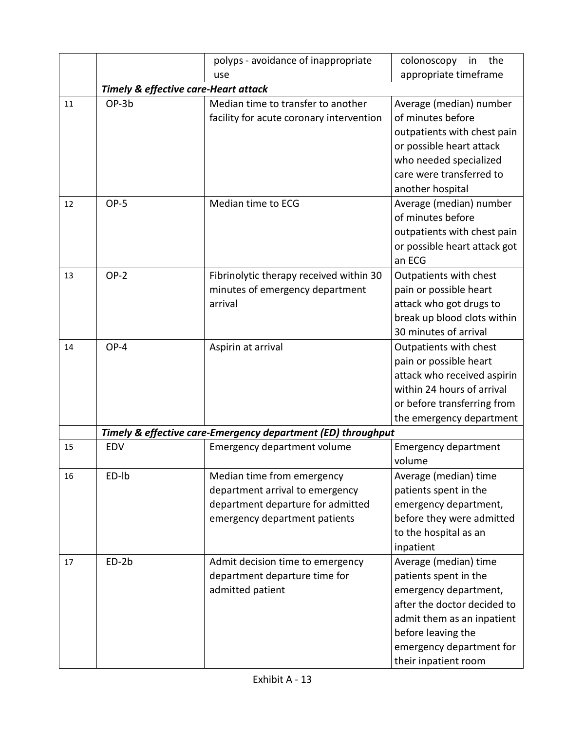|    |                                                 | polyps - avoidance of inappropriate                                                                                                 | colonoscopy<br>the<br>in                                                                                                                                                                                       |
|----|-------------------------------------------------|-------------------------------------------------------------------------------------------------------------------------------------|----------------------------------------------------------------------------------------------------------------------------------------------------------------------------------------------------------------|
|    |                                                 | use                                                                                                                                 | appropriate timeframe                                                                                                                                                                                          |
|    | <b>Timely &amp; effective care-Heart attack</b> |                                                                                                                                     |                                                                                                                                                                                                                |
| 11 | OP-3b                                           | Median time to transfer to another<br>facility for acute coronary intervention                                                      | Average (median) number<br>of minutes before<br>outpatients with chest pain<br>or possible heart attack<br>who needed specialized<br>care were transferred to<br>another hospital                              |
| 12 | OP-5                                            | Median time to ECG                                                                                                                  | Average (median) number<br>of minutes before<br>outpatients with chest pain<br>or possible heart attack got<br>an ECG                                                                                          |
| 13 | $OP-2$                                          | Fibrinolytic therapy received within 30<br>minutes of emergency department<br>arrival                                               | Outpatients with chest<br>pain or possible heart<br>attack who got drugs to<br>break up blood clots within<br>30 minutes of arrival                                                                            |
| 14 | OP-4                                            | Aspirin at arrival                                                                                                                  | Outpatients with chest<br>pain or possible heart<br>attack who received aspirin<br>within 24 hours of arrival<br>or before transferring from<br>the emergency department                                       |
|    |                                                 | Timely & effective care-Emergency department (ED) throughput                                                                        |                                                                                                                                                                                                                |
| 15 | <b>EDV</b>                                      | <b>Emergency department volume</b>                                                                                                  | <b>Emergency department</b><br>volume                                                                                                                                                                          |
| 16 | ED-lb                                           | Median time from emergency<br>department arrival to emergency<br>department departure for admitted<br>emergency department patients | Average (median) time<br>patients spent in the<br>emergency department,<br>before they were admitted<br>to the hospital as an<br>inpatient                                                                     |
| 17 | $ED-2b$                                         | Admit decision time to emergency<br>department departure time for<br>admitted patient                                               | Average (median) time<br>patients spent in the<br>emergency department,<br>after the doctor decided to<br>admit them as an inpatient<br>before leaving the<br>emergency department for<br>their inpatient room |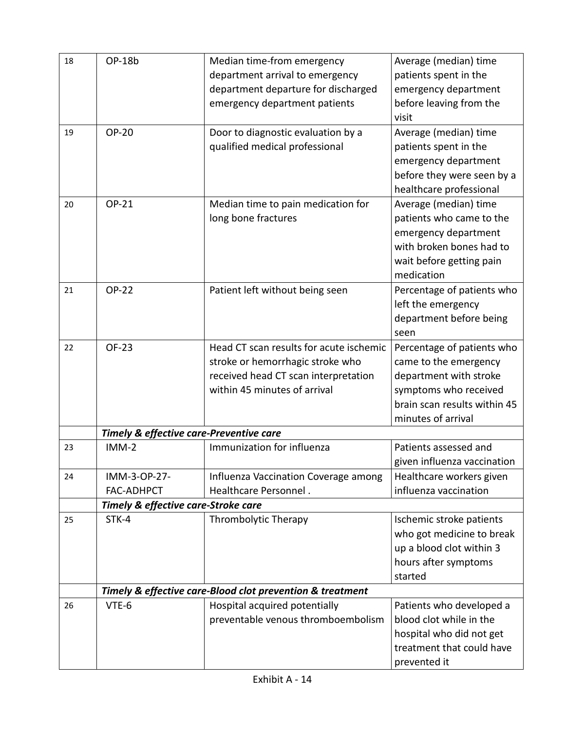| 18 | OP-18b                                  | Median time-from emergency                                | Average (median) time        |
|----|-----------------------------------------|-----------------------------------------------------------|------------------------------|
|    |                                         | department arrival to emergency                           | patients spent in the        |
|    |                                         | department departure for discharged                       | emergency department         |
|    |                                         | emergency department patients                             | before leaving from the      |
|    |                                         |                                                           | visit                        |
| 19 | <b>OP-20</b>                            | Door to diagnostic evaluation by a                        | Average (median) time        |
|    |                                         | qualified medical professional                            | patients spent in the        |
|    |                                         |                                                           | emergency department         |
|    |                                         |                                                           | before they were seen by a   |
|    |                                         |                                                           | healthcare professional      |
| 20 | OP-21                                   | Median time to pain medication for                        | Average (median) time        |
|    |                                         | long bone fractures                                       | patients who came to the     |
|    |                                         |                                                           | emergency department         |
|    |                                         |                                                           | with broken bones had to     |
|    |                                         |                                                           | wait before getting pain     |
|    |                                         |                                                           | medication                   |
| 21 | <b>OP-22</b>                            | Patient left without being seen                           | Percentage of patients who   |
|    |                                         |                                                           | left the emergency           |
|    |                                         |                                                           | department before being      |
|    |                                         |                                                           | seen                         |
| 22 | OF-23                                   | Head CT scan results for acute ischemic                   | Percentage of patients who   |
|    |                                         | stroke or hemorrhagic stroke who                          | came to the emergency        |
|    |                                         | received head CT scan interpretation                      | department with stroke       |
|    |                                         | within 45 minutes of arrival                              | symptoms who received        |
|    |                                         |                                                           | brain scan results within 45 |
|    |                                         |                                                           | minutes of arrival           |
|    | Timely & effective care-Preventive care |                                                           |                              |
| 23 | $IMM-2$                                 | Immunization for influenza                                | Patients assessed and        |
|    |                                         |                                                           | given influenza vaccination  |
| 24 | IMM-3-OP-27-                            | Influenza Vaccination Coverage among                      | Healthcare workers given     |
|    | <b>FAC-ADHPCT</b>                       | Healthcare Personnel.                                     | influenza vaccination        |
|    | Timely & effective care-Stroke care     |                                                           |                              |
| 25 | STK-4                                   | Thrombolytic Therapy                                      | Ischemic stroke patients     |
|    |                                         |                                                           | who got medicine to break    |
|    |                                         |                                                           | up a blood clot within 3     |
|    |                                         |                                                           | hours after symptoms         |
|    |                                         |                                                           | started                      |
|    |                                         | Timely & effective care-Blood clot prevention & treatment |                              |
| 26 | VTE-6                                   | Hospital acquired potentially                             | Patients who developed a     |
|    |                                         | preventable venous thromboembolism                        | blood clot while in the      |
|    |                                         |                                                           | hospital who did not get     |
|    |                                         |                                                           | treatment that could have    |
|    |                                         |                                                           | prevented it                 |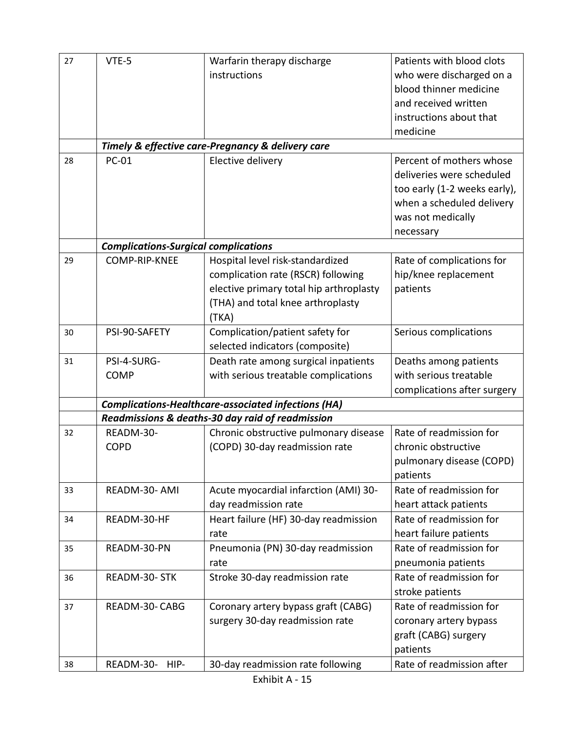| 27 | VTE-5                                       | Warfarin therapy discharge                                 | Patients with blood clots    |
|----|---------------------------------------------|------------------------------------------------------------|------------------------------|
|    |                                             | instructions                                               | who were discharged on a     |
|    |                                             |                                                            | blood thinner medicine       |
|    |                                             |                                                            | and received written         |
|    |                                             |                                                            | instructions about that      |
|    |                                             |                                                            | medicine                     |
|    |                                             | Timely & effective care-Pregnancy & delivery care          |                              |
| 28 | <b>PC-01</b>                                | Elective delivery                                          | Percent of mothers whose     |
|    |                                             |                                                            | deliveries were scheduled    |
|    |                                             |                                                            | too early (1-2 weeks early), |
|    |                                             |                                                            | when a scheduled delivery    |
|    |                                             |                                                            | was not medically            |
|    |                                             |                                                            | necessary                    |
|    | <b>Complications-Surgical complications</b> |                                                            |                              |
| 29 | COMP-RIP-KNEE                               | Hospital level risk-standardized                           | Rate of complications for    |
|    |                                             | complication rate (RSCR) following                         | hip/knee replacement         |
|    |                                             | elective primary total hip arthroplasty                    | patients                     |
|    |                                             | (THA) and total knee arthroplasty                          |                              |
|    |                                             | (TKA)                                                      |                              |
| 30 | PSI-90-SAFETY                               | Complication/patient safety for                            | Serious complications        |
|    |                                             | selected indicators (composite)                            |                              |
| 31 | PSI-4-SURG-                                 | Death rate among surgical inpatients                       | Deaths among patients        |
|    | <b>COMP</b>                                 | with serious treatable complications                       | with serious treatable       |
|    |                                             |                                                            | complications after surgery  |
|    |                                             | <b>Complications-Healthcare-associated infections (HA)</b> |                              |
|    |                                             | Readmissions & deaths-30 day raid of readmission           |                              |
| 32 | READM-30-                                   | Chronic obstructive pulmonary disease                      | Rate of readmission for      |
|    | <b>COPD</b>                                 | (COPD) 30-day readmission rate                             | chronic obstructive          |
|    |                                             |                                                            | pulmonary disease (COPD)     |
|    |                                             |                                                            | patients                     |
| 33 | READM-30- AMI                               | Acute myocardial infarction (AMI) 30-                      | Rate of readmission for      |
|    |                                             | day readmission rate                                       | heart attack patients        |
| 34 | READM-30-HF                                 | Heart failure (HF) 30-day readmission                      | Rate of readmission for      |
|    |                                             | rate                                                       | heart failure patients       |
| 35 | READM-30-PN                                 | Pneumonia (PN) 30-day readmission                          | Rate of readmission for      |
|    |                                             | rate                                                       | pneumonia patients           |
| 36 | READM-30- STK                               | Stroke 30-day readmission rate                             | Rate of readmission for      |
|    |                                             |                                                            | stroke patients              |
| 37 | READM-30-CABG                               | Coronary artery bypass graft (CABG)                        | Rate of readmission for      |
|    |                                             | surgery 30-day readmission rate                            | coronary artery bypass       |
|    |                                             |                                                            | graft (CABG) surgery         |
|    |                                             |                                                            | patients                     |
| 38 | READM-30-<br>HIP-                           | 30-day readmission rate following                          | Rate of readmission after    |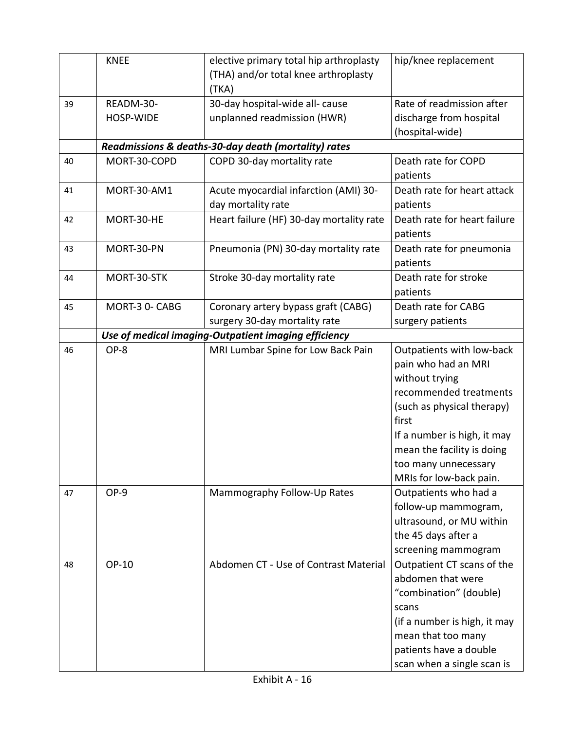|    | <b>KNEE</b>            | elective primary total hip arthroplasty<br>(THA) and/or total knee arthroplasty<br>(TKA) | hip/knee replacement                                                                                                                                                                                                                                |
|----|------------------------|------------------------------------------------------------------------------------------|-----------------------------------------------------------------------------------------------------------------------------------------------------------------------------------------------------------------------------------------------------|
| 39 | READM-30-<br>HOSP-WIDE | 30-day hospital-wide all- cause<br>unplanned readmission (HWR)                           | Rate of readmission after<br>discharge from hospital<br>(hospital-wide)                                                                                                                                                                             |
|    |                        | Readmissions & deaths-30-day death (mortality) rates                                     |                                                                                                                                                                                                                                                     |
| 40 | MORT-30-COPD           | COPD 30-day mortality rate                                                               | Death rate for COPD<br>patients                                                                                                                                                                                                                     |
| 41 | <b>MORT-30-AM1</b>     | Acute myocardial infarction (AMI) 30-<br>day mortality rate                              | Death rate for heart attack<br>patients                                                                                                                                                                                                             |
| 42 | MORT-30-HE             | Heart failure (HF) 30-day mortality rate                                                 | Death rate for heart failure<br>patients                                                                                                                                                                                                            |
| 43 | MORT-30-PN             | Pneumonia (PN) 30-day mortality rate                                                     | Death rate for pneumonia<br>patients                                                                                                                                                                                                                |
| 44 | MORT-30-STK            | Stroke 30-day mortality rate                                                             | Death rate for stroke<br>patients                                                                                                                                                                                                                   |
| 45 | MORT-3 0- CABG         | Coronary artery bypass graft (CABG)<br>surgery 30-day mortality rate                     | Death rate for CABG<br>surgery patients                                                                                                                                                                                                             |
|    |                        | Use of medical imaging-Outpatient imaging efficiency                                     |                                                                                                                                                                                                                                                     |
| 46 | OP-8                   | MRI Lumbar Spine for Low Back Pain                                                       | Outpatients with low-back<br>pain who had an MRI<br>without trying<br>recommended treatments<br>(such as physical therapy)<br>first<br>If a number is high, it may<br>mean the facility is doing<br>too many unnecessary<br>MRIs for low-back pain. |
| 47 | OP-9                   | Mammography Follow-Up Rates                                                              | Outpatients who had a<br>follow-up mammogram,<br>ultrasound, or MU within<br>the 45 days after a<br>screening mammogram                                                                                                                             |
| 48 | OP-10                  | Abdomen CT - Use of Contrast Material                                                    | Outpatient CT scans of the<br>abdomen that were<br>"combination" (double)<br>scans<br>(if a number is high, it may<br>mean that too many<br>patients have a double<br>scan when a single scan is                                                    |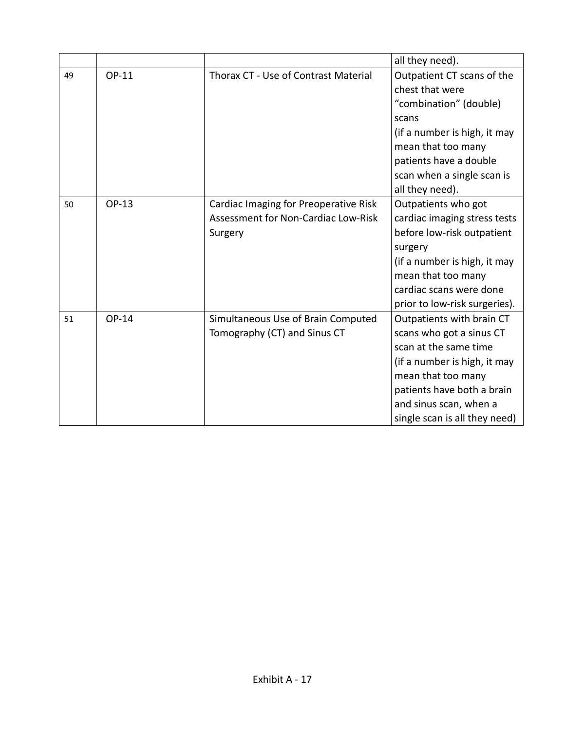|    |       |                                                                                         | all they need).                                                                                                                                                                                                               |
|----|-------|-----------------------------------------------------------------------------------------|-------------------------------------------------------------------------------------------------------------------------------------------------------------------------------------------------------------------------------|
| 49 | OP-11 | Thorax CT - Use of Contrast Material                                                    | Outpatient CT scans of the<br>chest that were<br>"combination" (double)<br>scans<br>(if a number is high, it may<br>mean that too many<br>patients have a double<br>scan when a single scan is<br>all they need).             |
| 50 | OP-13 | Cardiac Imaging for Preoperative Risk<br>Assessment for Non-Cardiac Low-Risk<br>Surgery | Outpatients who got<br>cardiac imaging stress tests<br>before low-risk outpatient<br>surgery<br>(if a number is high, it may<br>mean that too many<br>cardiac scans were done<br>prior to low-risk surgeries).                |
| 51 | OP-14 | Simultaneous Use of Brain Computed<br>Tomography (CT) and Sinus CT                      | Outpatients with brain CT<br>scans who got a sinus CT<br>scan at the same time<br>(if a number is high, it may<br>mean that too many<br>patients have both a brain<br>and sinus scan, when a<br>single scan is all they need) |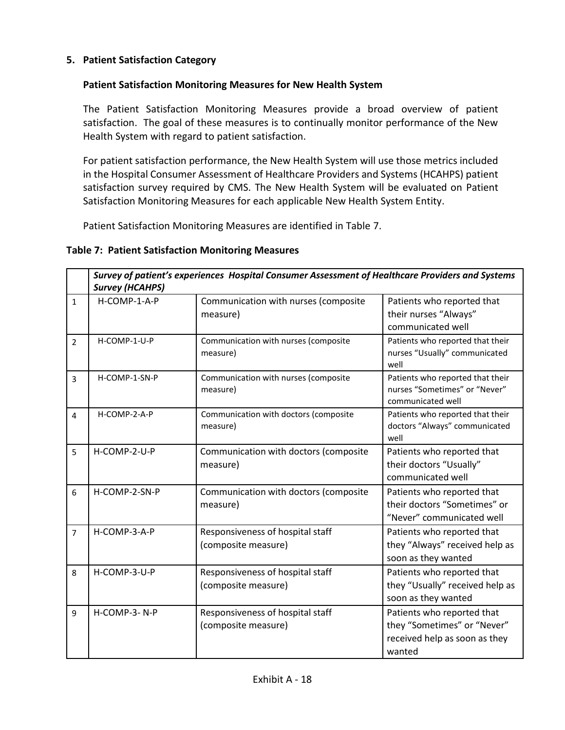### **5. Patient Satisfaction Category**

### **Patient Satisfaction Monitoring Measures for New Health System**

The Patient Satisfaction Monitoring Measures provide a broad overview of patient satisfaction. The goal of these measures is to continually monitor performance of the New Health System with regard to patient satisfaction.

For patient satisfaction performance, the New Health System will use those metrics included in the Hospital Consumer Assessment of Healthcare Providers and Systems (HCAHPS) patient satisfaction survey required by CMS. The New Health System will be evaluated on Patient Satisfaction Monitoring Measures for each applicable New Health System Entity.

Patient Satisfaction Monitoring Measures are identified in Table 7.

### **Table 7: Patient Satisfaction Monitoring Measures**

|                | Survey of patient's experiences Hospital Consumer Assessment of Healthcare Providers and Systems<br><b>Survey (HCAHPS)</b> |                                                         |                                                                                                      |
|----------------|----------------------------------------------------------------------------------------------------------------------------|---------------------------------------------------------|------------------------------------------------------------------------------------------------------|
| $\mathbf{1}$   | H-COMP-1-A-P                                                                                                               | Communication with nurses (composite<br>measure)        | Patients who reported that<br>their nurses "Always"<br>communicated well                             |
| $\overline{2}$ | H-COMP-1-U-P                                                                                                               | Communication with nurses (composite<br>measure)        | Patients who reported that their<br>nurses "Usually" communicated<br>well                            |
| 3              | H-COMP-1-SN-P                                                                                                              | Communication with nurses (composite<br>measure)        | Patients who reported that their<br>nurses "Sometimes" or "Never"<br>communicated well               |
| 4              | H-COMP-2-A-P                                                                                                               | Communication with doctors (composite<br>measure)       | Patients who reported that their<br>doctors "Always" communicated<br>well                            |
| 5              | H-COMP-2-U-P                                                                                                               | Communication with doctors (composite<br>measure)       | Patients who reported that<br>their doctors "Usually"<br>communicated well                           |
| 6              | H-COMP-2-SN-P                                                                                                              | Communication with doctors (composite<br>measure)       | Patients who reported that<br>their doctors "Sometimes" or<br>"Never" communicated well              |
| $\overline{7}$ | H-COMP-3-A-P                                                                                                               | Responsiveness of hospital staff<br>(composite measure) | Patients who reported that<br>they "Always" received help as<br>soon as they wanted                  |
| 8              | H-COMP-3-U-P                                                                                                               | Responsiveness of hospital staff<br>(composite measure) | Patients who reported that<br>they "Usually" received help as<br>soon as they wanted                 |
| 9              | H-COMP-3-N-P                                                                                                               | Responsiveness of hospital staff<br>(composite measure) | Patients who reported that<br>they "Sometimes" or "Never"<br>received help as soon as they<br>wanted |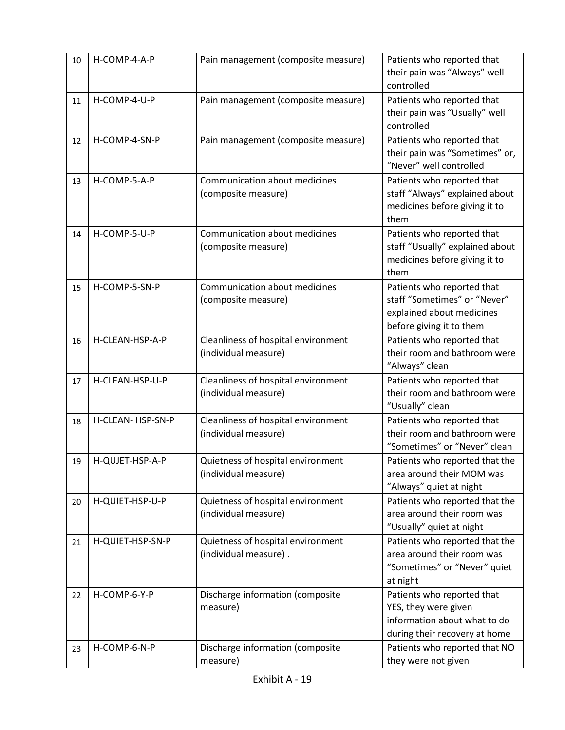| 10 | H-COMP-4-A-P      | Pain management (composite measure)                         | Patients who reported that<br>their pain was "Always" well<br>controlled                                            |  |
|----|-------------------|-------------------------------------------------------------|---------------------------------------------------------------------------------------------------------------------|--|
| 11 | H-COMP-4-U-P      | Pain management (composite measure)                         | Patients who reported that<br>their pain was "Usually" well<br>controlled                                           |  |
| 12 | H-COMP-4-SN-P     | Pain management (composite measure)                         | Patients who reported that<br>their pain was "Sometimes" or,<br>"Never" well controlled                             |  |
| 13 | H-COMP-5-A-P      | Communication about medicines<br>(composite measure)        | Patients who reported that<br>staff "Always" explained about<br>medicines before giving it to<br>them               |  |
| 14 | H-COMP-5-U-P      | Communication about medicines<br>(composite measure)        | Patients who reported that<br>staff "Usually" explained about<br>medicines before giving it to<br>them              |  |
| 15 | H-COMP-5-SN-P     | Communication about medicines<br>(composite measure)        | Patients who reported that<br>staff "Sometimes" or "Never"<br>explained about medicines<br>before giving it to them |  |
| 16 | H-CLEAN-HSP-A-P   | Cleanliness of hospital environment<br>(individual measure) | Patients who reported that<br>their room and bathroom were<br>"Always" clean                                        |  |
| 17 | H-CLEAN-HSP-U-P   | Cleanliness of hospital environment<br>(individual measure) | Patients who reported that<br>their room and bathroom were<br>"Usually" clean                                       |  |
| 18 | H-CLEAN- HSP-SN-P | Cleanliness of hospital environment<br>(individual measure) | Patients who reported that<br>their room and bathroom were<br>"Sometimes" or "Never" clean                          |  |
| 19 | H-QUJET-HSP-A-P   | Quietness of hospital environment<br>(individual measure)   | Patients who reported that the<br>area around their MOM was<br>"Always" quiet at night                              |  |
| 20 | H-QUIET-HSP-U-P   | Quietness of hospital environment<br>(individual measure)   | Patients who reported that the<br>area around their room was<br>"Usually" quiet at night                            |  |
| 21 | H-QUIET-HSP-SN-P  | Quietness of hospital environment<br>(individual measure).  | Patients who reported that the<br>area around their room was<br>"Sometimes" or "Never" quiet<br>at night            |  |
| 22 | H-COMP-6-Y-P      | Discharge information (composite<br>measure)                | Patients who reported that<br>YES, they were given<br>information about what to do<br>during their recovery at home |  |
| 23 | H-COMP-6-N-P      | Discharge information (composite<br>measure)                | Patients who reported that NO<br>they were not given                                                                |  |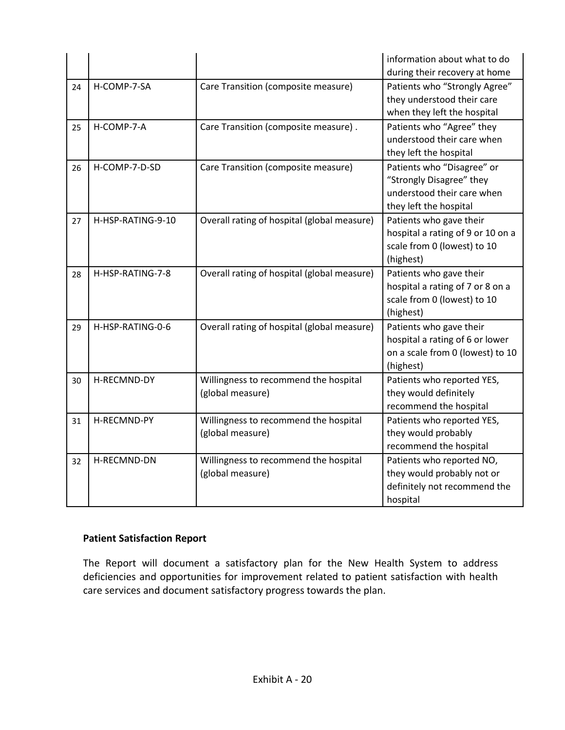|    |                   |                                             | information about what to do      |  |
|----|-------------------|---------------------------------------------|-----------------------------------|--|
|    |                   |                                             | during their recovery at home     |  |
| 24 | H-COMP-7-SA       | Care Transition (composite measure)         | Patients who "Strongly Agree"     |  |
|    |                   |                                             | they understood their care        |  |
|    |                   |                                             | when they left the hospital       |  |
| 25 | H-COMP-7-A        | Care Transition (composite measure).        | Patients who "Agree" they         |  |
|    |                   |                                             | understood their care when        |  |
|    |                   |                                             | they left the hospital            |  |
| 26 | H-COMP-7-D-SD     | Care Transition (composite measure)         | Patients who "Disagree" or        |  |
|    |                   |                                             | "Strongly Disagree" they          |  |
|    |                   |                                             | understood their care when        |  |
|    |                   |                                             | they left the hospital            |  |
| 27 | H-HSP-RATING-9-10 | Overall rating of hospital (global measure) | Patients who gave their           |  |
|    |                   |                                             | hospital a rating of 9 or 10 on a |  |
|    |                   |                                             | scale from 0 (lowest) to 10       |  |
|    |                   |                                             | (highest)                         |  |
| 28 | H-HSP-RATING-7-8  | Overall rating of hospital (global measure) | Patients who gave their           |  |
|    |                   |                                             | hospital a rating of 7 or 8 on a  |  |
|    |                   |                                             | scale from 0 (lowest) to 10       |  |
|    |                   |                                             | (highest)                         |  |
| 29 | H-HSP-RATING-0-6  | Overall rating of hospital (global measure) | Patients who gave their           |  |
|    |                   |                                             | hospital a rating of 6 or lower   |  |
|    |                   |                                             | on a scale from 0 (lowest) to 10  |  |
|    |                   |                                             | (highest)                         |  |
| 30 | H-RECMND-DY       | Willingness to recommend the hospital       | Patients who reported YES,        |  |
|    |                   | (global measure)                            | they would definitely             |  |
|    |                   |                                             | recommend the hospital            |  |
| 31 | H-RECMND-PY       | Willingness to recommend the hospital       | Patients who reported YES,        |  |
|    |                   | (global measure)                            | they would probably               |  |
|    |                   |                                             | recommend the hospital            |  |
| 32 | H-RECMND-DN       | Willingness to recommend the hospital       | Patients who reported NO,         |  |
|    |                   | (global measure)                            | they would probably not or        |  |
|    |                   |                                             | definitely not recommend the      |  |
|    |                   |                                             | hospital                          |  |

### **Patient Satisfaction Report**

The Report will document a satisfactory plan for the New Health System to address deficiencies and opportunities for improvement related to patient satisfaction with health care services and document satisfactory progress towards the plan.